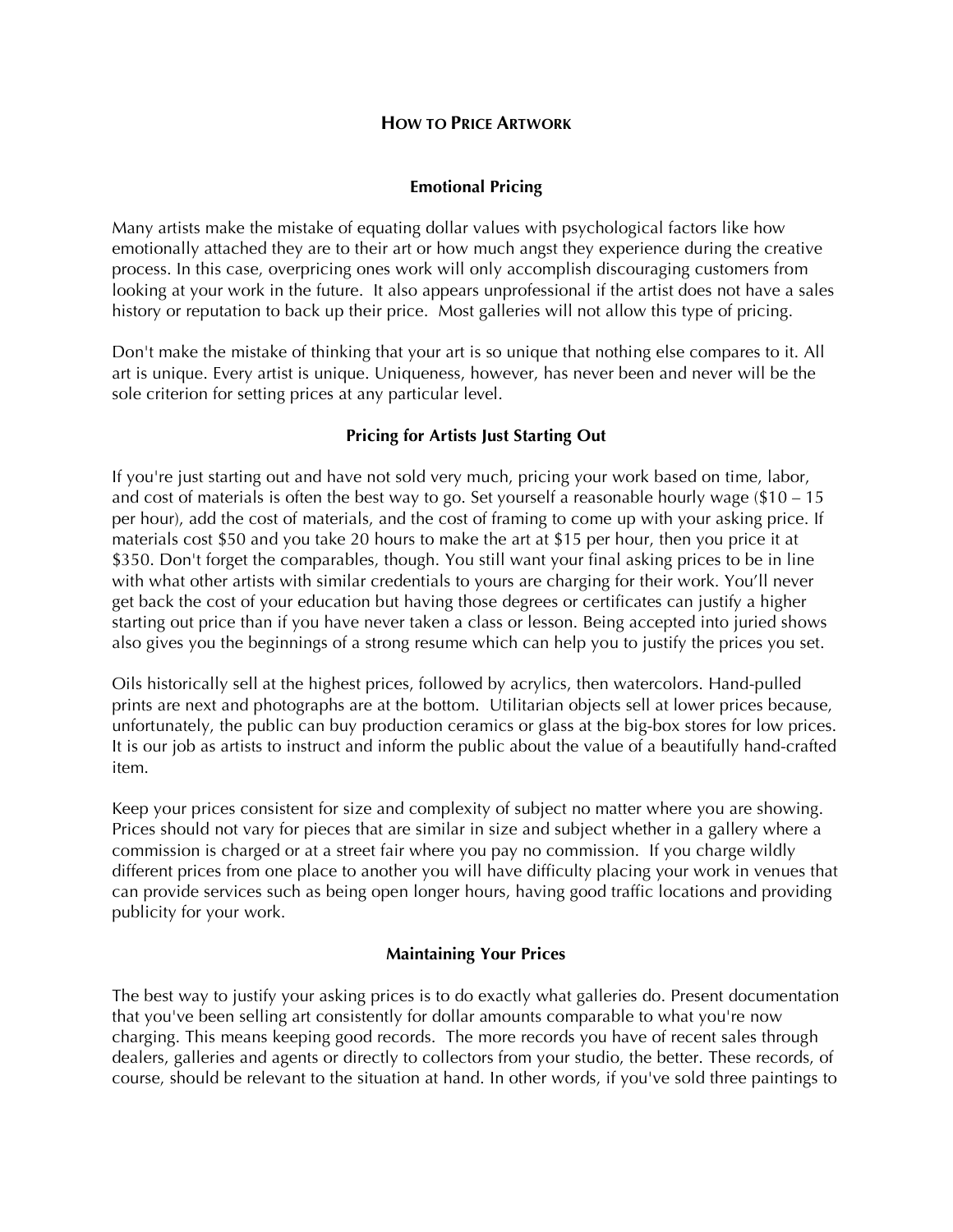## **HOW TO PRICE ARTWORK**

## **Emotional Pricing**

Many artists make the mistake of equating dollar values with psychological factors like how emotionally attached they are to their art or how much angst they experience during the creative process. In this case, overpricing ones work will only accomplish discouraging customers from looking at your work in the future. It also appears unprofessional if the artist does not have a sales history or reputation to back up their price. Most galleries will not allow this type of pricing.

Don't make the mistake of thinking that your art is so unique that nothing else compares to it. All art is unique. Every artist is unique. Uniqueness, however, has never been and never will be the sole criterion for setting prices at any particular level.

## **Pricing for Artists Just Starting Out**

If you're just starting out and have not sold very much, pricing your work based on time, labor, and cost of materials is often the best way to go. Set yourself a reasonable hourly wage (\$10 – 15 per hour), add the cost of materials, and the cost of framing to come up with your asking price. If materials cost \$50 and you take 20 hours to make the art at \$15 per hour, then you price it at \$350. Don't forget the comparables, though. You still want your final asking prices to be in line with what other artists with similar credentials to yours are charging for their work. You'll never get back the cost of your education but having those degrees or certificates can justify a higher starting out price than if you have never taken a class or lesson. Being accepted into juried shows also gives you the beginnings of a strong resume which can help you to justify the prices you set.

Oils historically sell at the highest prices, followed by acrylics, then watercolors. Hand-pulled prints are next and photographs are at the bottom. Utilitarian objects sell at lower prices because, unfortunately, the public can buy production ceramics or glass at the big-box stores for low prices. It is our job as artists to instruct and inform the public about the value of a beautifully hand-crafted item.

Keep your prices consistent for size and complexity of subject no matter where you are showing. Prices should not vary for pieces that are similar in size and subject whether in a gallery where a commission is charged or at a street fair where you pay no commission. If you charge wildly different prices from one place to another you will have difficulty placing your work in venues that can provide services such as being open longer hours, having good traffic locations and providing publicity for your work.

#### **Maintaining Your Prices**

The best way to justify your asking prices is to do exactly what galleries do. Present documentation that you've been selling art consistently for dollar amounts comparable to what you're now charging. This means keeping good records. The more records you have of recent sales through dealers, galleries and agents or directly to collectors from your studio, the better. These records, of course, should be relevant to the situation at hand. In other words, if you've sold three paintings to